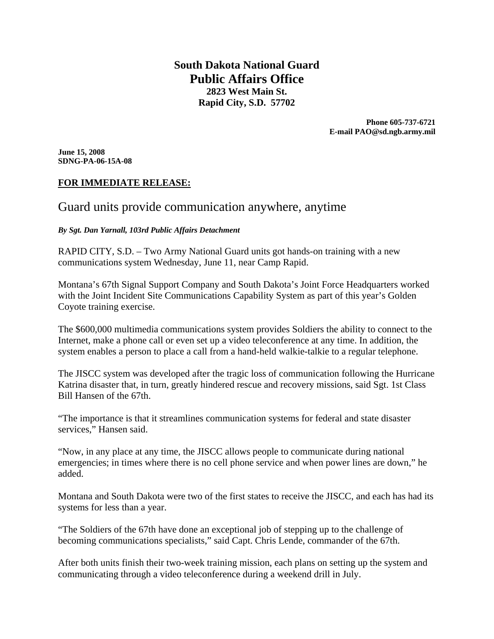**South Dakota National Guard Public Affairs Office 2823 West Main St. Rapid City, S.D. 57702** 

> **Phone 605-737-6721 E-mail PAO@sd.ngb.army.mil**

**June 15, 2008 SDNG-PA-06-15A-08** 

#### **FOR IMMEDIATE RELEASE:**

# Guard units provide communication anywhere, anytime

*By Sgt. Dan Yarnall, 103rd Public Affairs Detachment* 

RAPID CITY, S.D. – Two Army National Guard units got hands-on training with a new communications system Wednesday, June 11, near Camp Rapid.

Montana's 67th Signal Support Company and South Dakota's Joint Force Headquarters worked with the Joint Incident Site Communications Capability System as part of this year's Golden Coyote training exercise.

The \$600,000 multimedia communications system provides Soldiers the ability to connect to the Internet, make a phone call or even set up a video teleconference at any time. In addition, the system enables a person to place a call from a hand-held walkie-talkie to a regular telephone.

The JISCC system was developed after the tragic loss of communication following the Hurricane Katrina disaster that, in turn, greatly hindered rescue and recovery missions, said Sgt. 1st Class Bill Hansen of the 67th.

"The importance is that it streamlines communication systems for federal and state disaster services," Hansen said.

"Now, in any place at any time, the JISCC allows people to communicate during national emergencies; in times where there is no cell phone service and when power lines are down," he added.

Montana and South Dakota were two of the first states to receive the JISCC, and each has had its systems for less than a year.

"The Soldiers of the 67th have done an exceptional job of stepping up to the challenge of becoming communications specialists," said Capt. Chris Lende, commander of the 67th.

After both units finish their two-week training mission, each plans on setting up the system and communicating through a video teleconference during a weekend drill in July.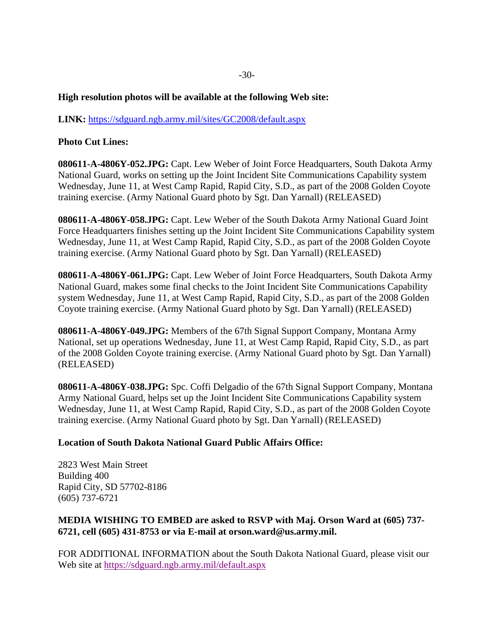## **High resolution photos will be available at the following Web site:**

**LINK:** https://sdguard.ngb.army.mil/sites/GC2008/default.aspx

## **Photo Cut Lines:**

**080611-A-4806Y-052.JPG:** Capt. Lew Weber of Joint Force Headquarters, South Dakota Army National Guard, works on setting up the Joint Incident Site Communications Capability system Wednesday, June 11, at West Camp Rapid, Rapid City, S.D., as part of the 2008 Golden Coyote training exercise. (Army National Guard photo by Sgt. Dan Yarnall) (RELEASED)

**080611-A-4806Y-058.JPG:** Capt. Lew Weber of the South Dakota Army National Guard Joint Force Headquarters finishes setting up the Joint Incident Site Communications Capability system Wednesday, June 11, at West Camp Rapid, Rapid City, S.D., as part of the 2008 Golden Coyote training exercise. (Army National Guard photo by Sgt. Dan Yarnall) (RELEASED)

**080611-A-4806Y-061.JPG:** Capt. Lew Weber of Joint Force Headquarters, South Dakota Army National Guard, makes some final checks to the Joint Incident Site Communications Capability system Wednesday, June 11, at West Camp Rapid, Rapid City, S.D., as part of the 2008 Golden Coyote training exercise. (Army National Guard photo by Sgt. Dan Yarnall) (RELEASED)

**080611-A-4806Y-049.JPG:** Members of the 67th Signal Support Company, Montana Army National, set up operations Wednesday, June 11, at West Camp Rapid, Rapid City, S.D., as part of the 2008 Golden Coyote training exercise. (Army National Guard photo by Sgt. Dan Yarnall) (RELEASED)

**080611-A-4806Y-038.JPG:** Spc. Coffi Delgadio of the 67th Signal Support Company, Montana Army National Guard, helps set up the Joint Incident Site Communications Capability system Wednesday, June 11, at West Camp Rapid, Rapid City, S.D., as part of the 2008 Golden Coyote training exercise. (Army National Guard photo by Sgt. Dan Yarnall) (RELEASED)

#### **Location of South Dakota National Guard Public Affairs Office:**

2823 West Main Street Building 400 Rapid City, SD 57702-8186 (605) 737-6721

## **MEDIA WISHING TO EMBED are asked to RSVP with Maj. Orson Ward at (605) 737- 6721, cell (605) 431-8753 or via E-mail at orson.ward@us.army.mil.**

FOR ADDITIONAL INFORMATION about the South Dakota National Guard, please visit our Web site at https://sdguard.ngb.army.mil/default.aspx